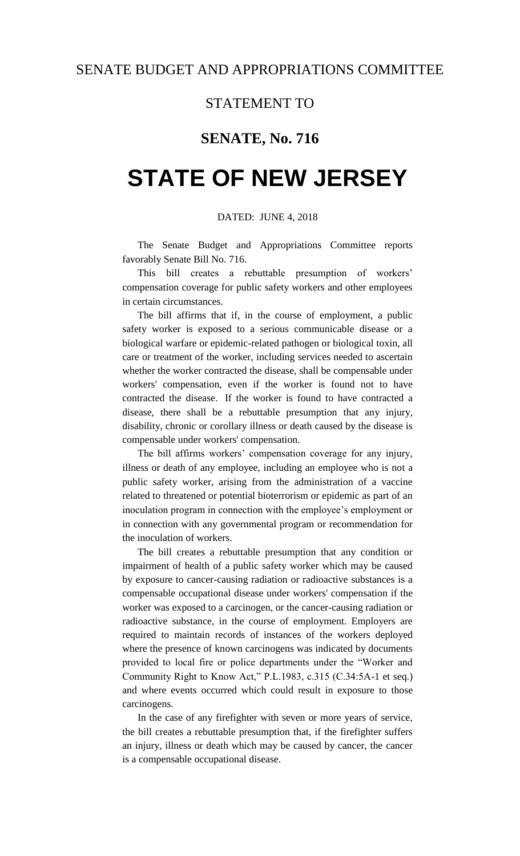### STATEMENT TO

## **SENATE, No. 716**

# **STATE OF NEW JERSEY**

### DATED: JUNE 4, 2018

The Senate Budget and Appropriations Committee reports favorably Senate Bill No. 716.

This bill creates a rebuttable presumption of workers' compensation coverage for public safety workers and other employees in certain circumstances.

The bill affirms that if, in the course of employment, a public safety worker is exposed to a serious communicable disease or a biological warfare or epidemic-related pathogen or biological toxin, all care or treatment of the worker, including services needed to ascertain whether the worker contracted the disease, shall be compensable under workers' compensation, even if the worker is found not to have contracted the disease. If the worker is found to have contracted a disease, there shall be a rebuttable presumption that any injury, disability, chronic or corollary illness or death caused by the disease is compensable under workers' compensation.

The bill affirms workers' compensation coverage for any injury, illness or death of any employee, including an employee who is not a public safety worker, arising from the administration of a vaccine related to threatened or potential bioterrorism or epidemic as part of an inoculation program in connection with the employee's employment or in connection with any governmental program or recommendation for the inoculation of workers.

The bill creates a rebuttable presumption that any condition or impairment of health of a public safety worker which may be caused by exposure to cancer-causing radiation or radioactive substances is a compensable occupational disease under workers' compensation if the worker was exposed to a carcinogen, or the cancer-causing radiation or radioactive substance, in the course of employment. Employers are required to maintain records of instances of the workers deployed where the presence of known carcinogens was indicated by documents provided to local fire or police departments under the "Worker and Community Right to Know Act," P.L.1983, c.315 (C.34:5A-1 et seq.) and where events occurred which could result in exposure to those carcinogens.

In the case of any firefighter with seven or more years of service, the bill creates a rebuttable presumption that, if the firefighter suffers an injury, illness or death which may be caused by cancer, the cancer is a compensable occupational disease.